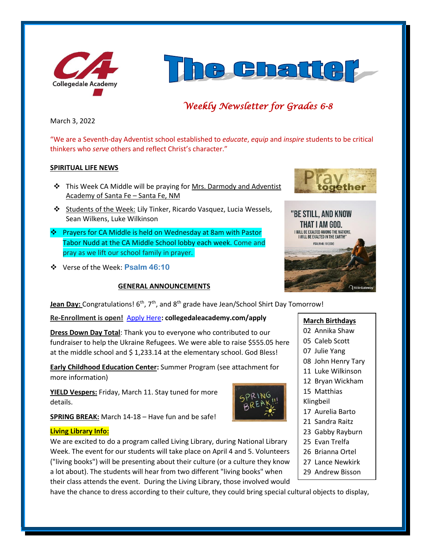



# *Weekly Newsletter for Grades 6-8*

March 3, 2022

"We are a Seventh-day Adventist school established to *educate*, *equip* and *inspire* students to be critical thinkers who *serve* others and reflect Christ's character."

### **SPIRITUAL LIFE NEWS**

- ❖ This Week CA Middle will be praying for Mrs. Darmody and Adventist Academy of Santa Fe – Santa Fe, NM
- ❖ Students of the Week: Lily Tinker, Ricardo Vasquez, Lucia Wessels, Sean Wilkens, Luke Wilkinson
- ❖ Prayers for CA Middle is held on Wednesday at 8am with Pastor Tabor Nudd at the CA Middle School lobby each week. Come and pray as we lift our school family in prayer.
- ❖ Verse of the Week: **Psalm 46:10**

## **GENERAL ANNOUNCEMENTS**

**Jean Day:** Congratulations! 6<sup>th</sup>, 7<sup>th</sup>, and 8<sup>th</sup> grade have Jean/School Shirt Day Tomorrow!

**Re-Enrollment is open!** [Apply Here](http://collegedaleacademy.com/apply)**: collegedaleacademy.com/apply**

**Dress Down Day Total**: Thank you to everyone who contributed to our fundraiser to help the Ukraine Refugees. We were able to raise \$555.05 here at the middle school and \$1,233.14 at the elementary school. God Bless!

**Early Childhood Education Center:** Summer Program (see attachment for more information)

**YIELD Vespers:** Friday, March 11. Stay tuned for more details.

**SPRING BREAK:** March 14-18 – Have fun and be safe!

#### **Living Library Info:**

We are excited to do a program called Living Library, during National Library Week. The event for our students will take place on April 4 and 5. Volunteers ("living books") will be presenting about their culture (or a culture they know a lot about). The students will hear from two different "living books" when their class attends the event. During the Living Library, those involved would

have the chance to dress according to their culture, they could bring special cultural objects to display, 30 Hanley Shelton





# **March Birthdays**

- 02 Annika Shaw
- 05 Caleb Scott
- 07 Julie Yang
- 08 John Henry Tary
- 11 Luke Wilkinson
- 12 Bryan Wickham
- 15 Matthias
- Klingbeil
- 17 Aurelia Barto
- 21 Sandra Raitz
- 23 Gabby Rayburn
- 25 Evan Trelfa
- 26 Brianna Ortel
- 27 Lance Newkirk
- 29 Andrew Bisson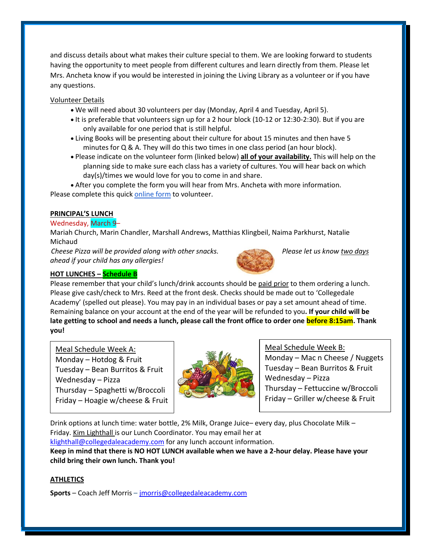and discuss details about what makes their culture special to them. We are looking forward to students having the opportunity to meet people from different cultures and learn directly from them. Please let Mrs. Ancheta know if you would be interested in joining the Living Library as a volunteer or if you have any questions.

Volunteer Details

- We will need about 30 volunteers per day (Monday, April 4 and Tuesday, April 5).
- It is preferable that volunteers sign up for a 2 hour block (10-12 or 12:30-2:30). But if you are only available for one period that is still helpful.
- Living Books will be presenting about their culture for about 15 minutes and then have 5 minutes for Q & A. They will do this two times in one class period (an hour block).
- Please indicate on the volunteer form (linked below) **all of your availability.** This will help on the planning side to make sure each class has a variety of cultures. You will hear back on which day(s)/times we would love for you to come in and share.

• After you complete the form you will hear from Mrs. Ancheta with more information. Please complete this quick [online form](https://forms.gle/3BzKPM2Pg5oKMCSv6) to volunteer.

# **PRINCIPAL'S LUNCH**

# Wednesday, March 9–

Mariah Church, Marin Chandler, Marshall Andrews, Matthias Klingbeil, Naima Parkhurst, Natalie Michaud

*Cheese Pizza will be provided along with other snacks. Please let us know two days ahead if your child has any allergies!*



# **HOT LUNCHES – Schedule B**

Please remember that your child's lunch/drink accounts should be paid prior to them ordering a lunch. Please give cash/check to Mrs. Reed at the front desk. Checks should be made out to 'Collegedale Academy' (spelled out please). You may pay in an individual bases or pay a set amount ahead of time. Remaining balance on your account at the end of the year will be refunded to you**. If your child will be late getting to school and needs a lunch, please call the front office to order one before 8:15am. Thank you!** 

Meal Schedule Week A: Monday – Hotdog  $&$  Fruit Tuesday – Bean Burritos & Fruit Wednesday – Pizza Thursday – Spaghetti w/Broccoli Friday – Hoagie w/cheese & Fruit



Meal Schedule Week B: Monday – Mac n Cheese / Nuggets Tuesday – Bean Burritos & Fruit Wednesday – Pizza

Thursday – Fettuccine w/Broccoli Friday – Griller w/cheese & Fruit

Drink options at lunch time: water bottle, 2% Milk, Orange Juice– every day, plus Chocolate Milk – Friday. Kim Lighthall is our Lunch Coordinator. You may email her at

[klighthall@collegedaleacademy.com](mailto:klighthall@collegedaleacademy.com) for any lunch account information.

**Keep in mind that there is NO HOT LUNCH available when we have a 2-hour delay. Please have your child bring their own lunch. Thank you!**

# **ATHLETICS**

**Sports** – Coach Jeff Morris – [jmorris@collegedaleacademy.com](mailto:jmorris@collegedaleacademy.com)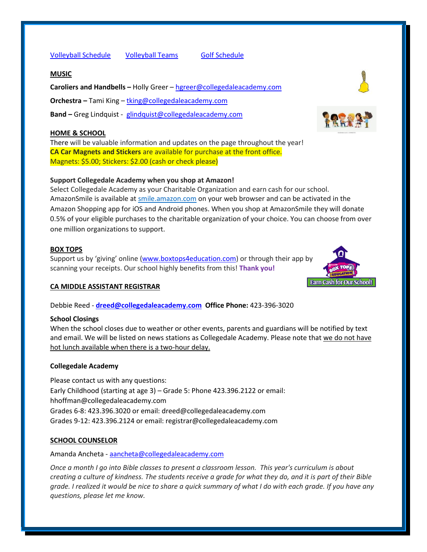[Volleyball Schedule](https://www.collegedaleacademy.com/wp-content/uploads/2022/02/2022-Volleyball-schedule.pdf) [Volleyball Teams](https://www.collegedaleacademy.com/wp-content/uploads/2022/02/2021-2022-Volleyball-Teams-1.pdf) [Golf Schedule](https://www.collegedaleacademy.com/wp-content/uploads/2022/03/2022-ISC-Golf-Schedule.pdf)

### **MUSIC**

**Caroliers and Handbells –** Holly Greer – [hgreer@collegedaleacademy.com](mailto:hgreer@collegedaleacademy.com)

**Orchestra –** Tami King – [tking@collegedaleacademy.com](mailto:tking@collegedaleacademy.com)

**Band –** Greg Lindquist - [glindquist@collegedaleacademy.com](mailto:glindquist@collegedaleacademy.com)

### **HOME & SCHOOL**

There will be valuable information and updates on the page throughout the year! **CA Car Magnets and Stickers** are available for purchase at the front office. Magnets: \$5.00; Stickers: \$2.00 (cash or check please)

## **Support Collegedale Academy when you shop at Amazon!**

Select Collegedale Academy as your Charitable Organization and earn cash for our school. AmazonSmile is available at [smile.amazon.com](https://smile.amazon.com/ref=smi_se_saas_lsmi_smi) on your web browser and can be activated in the Amazon Shopping app for iOS and Android phones. When you shop at AmazonSmile they will donate 0.5% of your eligible purchases to the charitable organization of your choice. You can choose from over one million organizations to support.

### **BOX TOPS**

Support us by 'giving' online ([www.boxtops4education.com\)](http://www.boxtops4education.com/) or through their app by scanning your receipts. Our school highly benefits from this! **Thank you!**

#### **CA MIDDLE ASSISTANT REGISTRAR**

Debbie Reed - **[dreed@collegedaleacademy.com](mailto:dreed@collegedaleacademy.com) Office Phone:** 423-396-3020

#### **School Closings**

When the school closes due to weather or other events, parents and guardians will be notified by text and email. We will be listed on news stations as Collegedale Academy. Please note that we do not have hot lunch available when there is a two-hour delay.

#### **Collegedale Academy**

Please contact us with any questions: Early Childhood (starting at age 3) – Grade 5: Phone 423.396.2122 or email: hhoffman@collegedaleacademy.com Grades 6-8: 423.396.3020 or email: dreed@collegedaleacademy.com Grades 9-12: 423.396.2124 or email: registrar@collegedaleacademy.com

## **SCHOOL COUNSELOR**

Amanda Ancheta - [aancheta@collegedaleacademy.com](mailto:aancheta@collegedaleacademy.com)

*Once a month I go into Bible classes to present a classroom lesson. This year's curriculum is about creating a culture of kindness. The students receive a grade for what they do, and it is part of their Bible grade. I realized it would be nice to share a quick summary of what I do with each grade. If you have any questions, please let me know.*